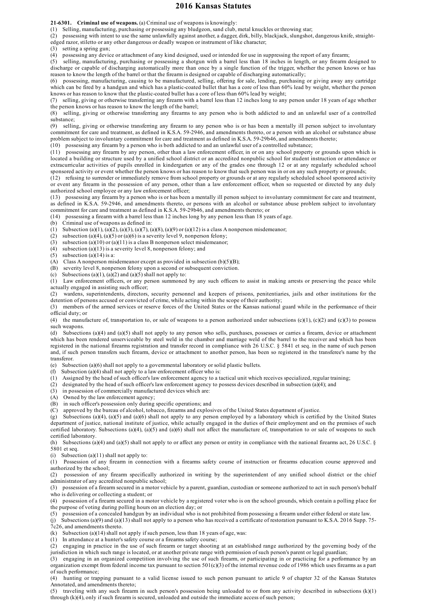## **2016 Kansas Statutes**

**21-6301. Criminal use of weapons.** (a) Criminal use of weapons is knowingly:

(1) Selling, manufacturing, purchasing or possessing any bludgeon, sand club, metal knuckles or throwing star;

(2) possessing with intent to use the same unlawfully against another, a dagger, dirk, billy, blackjack, slungshot, dangerous knife, straightedged razor, stiletto or any other dangerous or deadly weapon or instrument of like character;

(3) setting a spring gun;

(4) possessing any device or attachment of any kind designed, used or intended for use in suppressing the report of any firearm;

(5) selling, manufacturing, purchasing or possessing a shotgun with a barrel less than 18 inches in length, or any firearm designed to discharge or capable of discharging automatically more than once by a single function of the trigger, whether the person knows or has reason to know the length of the barrel or that the firearm is designed or capable of discharging automatically;

(6) possessing, manufacturing, causing to be manufactured, selling, offering for sale, lending, purchasing or giving away any cartridge which can be fired by a handgun and which has a plastic-coated bullet that has a core of less than 60% lead by weight, whether the person knows or has reason to know that the plastic-coated bullet has a core of less than 60% lead by weight;

(7) selling, giving or otherwise transferring any firearm with a barrel less than 12 inches long to any person under 18 years of age whether the person knows or has reason to know the length of the barrel;

(8) selling, giving or otherwise transferring any firearms to any person who is both addicted to and an unlawful user of a controlled substance;

(9) selling, giving or otherwise transferring any firearm to any person who is or has been a mentally ill person subject to involuntary commitment for care and treatment, as defined in K.S.A. 59-2946, and amendments thereto, or a person with an alcohol or substance abuse problem subject to involuntary commitment for care and treatment as defined in K.S.A. 59-29b46, and amendments thereto;

(10) possessing any firearm by a person who is both addicted to and an unlawful user of a controlled substance;

(11) possessing any firearm by any person, other than a law enforcement officer, in or on any school property or grounds upon which is located a building or structure used by a unified school district or an accredited nonpublic school for student instruction or attendance or extracurricular activities of pupils enrolled in kindergarten or any of the grades one through 12 or at any regularly scheduled school sponsored activity or event whether the person knows or has reason to know that such person was in or on any such property or grounds;

(12) refusing to surrender or immediately remove from school property or grounds or at any regularly scheduled school sponsored activity or event any firearm in the possession of any person, other than a law enforcement officer, when so requested or directed by any duly authorized school employee or any law enforcement officer;

(13) possessing any firearm by a person who is or has been a mentally ill person subject to involuntary commitment for care and treatment, as defined in K.S.A. 59-2946, and amendments thereto, or persons with an alcohol or substance abuse problem subject to involuntary commitment for care and treatment as defined in K.S.A. 59-29b46, and amendments thereto; or

(14) possessing a firearm with a barrel less than 12 inches long by any person less than 18 years of age.

(b) Criminal use of weapons as defined in:

(1) Subsection (a)(1), (a)(2), (a)(3), (a)(7), (a)(8), (a)(9) or (a)(12) is a class A nonperson misdemeanor;

(2) subsection (a)(4), (a)(5) or (a)(6) is a severity level 9, nonperson felony;

(3) subsection (a)(10) or (a)(11) is a class B nonperson select misdemeanor;

(4) subsection (a)(13) is a severity level 8, nonperson felony; and

(5) subsection (a)(14) is a:

(A) Class A nonperson misdemeanor except as provided in subsection  $(b)(5)(B)$ ;

(B) severity level 8, nonperson felony upon a second or subsequent conviction.

(c) Subsections (a)(1), (a)(2) and (a)(5) shall not apply to:

(1) Law enforcement officers, or any person summoned by any such officers to assist in making arrests or preserving the peace while actually engaged in assisting such officer;

(2) wardens, superintendents, directors, security personnel and keepers of prisons, penitentiaries, jails and other institutions for the detention of persons accused or convicted of crime, while acting within the scope of their authority;

(3) members of the armed services or reserve forces of the United States or the Kansas national guard while in the performance of their official duty; or

(4) the manufacture of, transportation to, or sale of weapons to a person authorized under subsections  $(c)(1)$ ,  $(c)(2)$  and  $(c)(3)$  to possess such weapons.

(d) Subsections (a)(4) and (a)(5) shall not apply to any person who sells, purchases, possesses or carries a firearm, device or attachment which has been rendered unserviceable by steel weld in the chamber and marriage weld of the barrel to the receiver and which has been registered in the national firearms registration and transfer record in compliance with 26 U.S.C. § 5841 et seq. in the name of such person and, if such person transfers such firearm, device or attachment to another person, has been so registered in the transferee's name by the transferor.

(e) Subsection (a)(6) shall not apply to a governmental laboratory or solid plastic bullets.

(f) Subsection (a)(4) shall not apply to a law enforcement officer who is:

(1) Assigned by the head of such officer's law enforcement agency to a tactical unit which receives specialized, regular training;

(2) designated by the head of such officer's law enforcement agency to possess devices described in subsection (a)(4); and

(3) in possession of commercially manufactured devices which are:

(A) Owned by the law enforcement agency;

(B) in such officer's possession only during specific operations; and

(C) approved by the bureau of alcohol, tobacco, firearms and explosives of the United States department of justice.

(g) Subsections (a)(4), (a)(5) and (a)(6) shall not apply to any person employed by a laboratory which is certified by the United States department of justice, national institute of justice, while actually engaged in the duties of their employment and on the premises of such certified laboratory. Subsections (a)(4), (a)(5) and (a)(6) shall not affect the manufacture of, transportation to or sale of weapons to such certified laboratory.

(h) Subsections (a)(4) and (a)(5) shall not apply to or affect any person or entity in compliance with the national firearms act, 26 U.S.C. § 5801 et seq.

(i) Subsection (a)(11) shall not apply to:

(1) Possession of any firearm in connection with a firearms safety course of instruction or firearms education course approved and authorized by the school;

(2) possession of any firearm specifically authorized in writing by the superintendent of any unified school district or the chief administrator of any accredited nonpublic school;

(3) possession of a firearm secured in a motor vehicle by a parent, guardian, custodian or someone authorized to act in such person's behalf who is delivering or collecting a student; or

(4) possession of a firearm secured in a motor vehicle by a registered voter who is on the school grounds, which contain a polling place for the purpose of voting during polling hours on an election day; or

(5) possession of a concealed handgun by an individual who is not prohibited from possessing a firearm under either federal or state law.

(j) Subsections (a)(9) and (a)(13) shall not apply to a person who has received a certificate of restoration pursuant to K.S.A. 2016 Supp. 75- 7c26, and amendments thereto.

(k) Subsection (a)(14) shall not apply if such person, less than 18 years of age, was:

(1) In attendance at a hunter's safety course or a firearms safety course;

(2) engaging in practice in the use of such firearm or target shooting at an established range authorized by the governing body of the jurisdiction in which such range is located, or at another private range with permission of such person's parent or legal guardian;

(3) engaging in an organized competition involving the use of such firearm, or participating in or practicing for a performance by an organization exempt from federal income tax pursuant to section  $501(c)(3)$  of the internal revenue code of 1986 which uses firearms as a part of such performance;

(4) hunting or trapping pursuant to a valid license issued to such person pursuant to article 9 of chapter 32 of the Kansas Statutes Annotated, and amendments thereto;

(5) traveling with any such firearm in such person's possession being unloaded to or from any activity described in subsections (k)(1) through (k)(4), only if such firearm is secured, unloaded and outside the immediate access of such person;